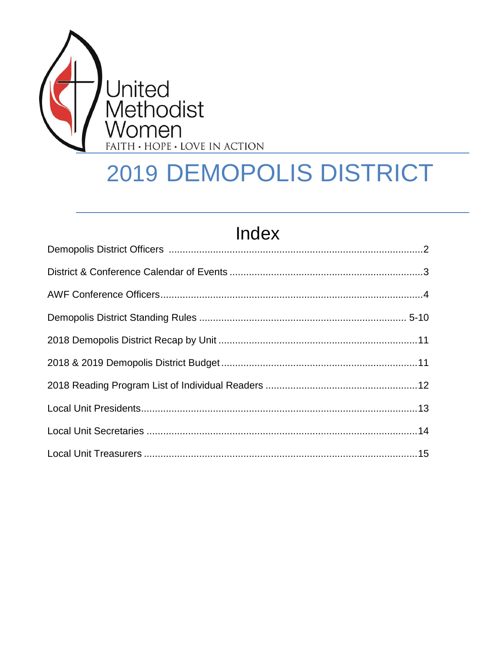

# **2019 DEMOPOLIS DISTRICT**

# Index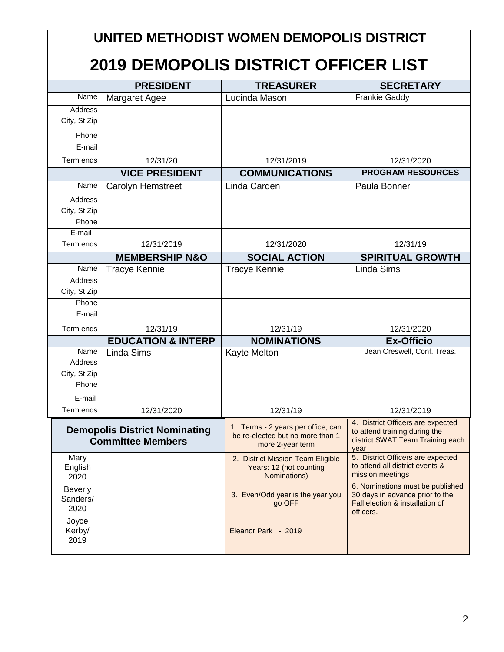|                                    | UNITED METHODIST WOMEN DEMOPOLIS DISTRICT                        |                                                                                            |                                                                                                                     |  |  |  |  |  |  |
|------------------------------------|------------------------------------------------------------------|--------------------------------------------------------------------------------------------|---------------------------------------------------------------------------------------------------------------------|--|--|--|--|--|--|
|                                    | <b>2019 DEMOPOLIS DISTRICT OFFICER LIST</b>                      |                                                                                            |                                                                                                                     |  |  |  |  |  |  |
|                                    | <b>PRESIDENT</b>                                                 | <b>TREASURER</b>                                                                           | <b>SECRETARY</b>                                                                                                    |  |  |  |  |  |  |
| Name                               | Margaret Agee                                                    | Lucinda Mason                                                                              | <b>Frankie Gaddy</b>                                                                                                |  |  |  |  |  |  |
| <b>Address</b>                     |                                                                  |                                                                                            |                                                                                                                     |  |  |  |  |  |  |
| City, St Zip                       |                                                                  |                                                                                            |                                                                                                                     |  |  |  |  |  |  |
| Phone                              |                                                                  |                                                                                            |                                                                                                                     |  |  |  |  |  |  |
| E-mail                             |                                                                  |                                                                                            |                                                                                                                     |  |  |  |  |  |  |
| Term ends                          | 12/31/20                                                         | 12/31/2019                                                                                 | 12/31/2020                                                                                                          |  |  |  |  |  |  |
|                                    | <b>VICE PRESIDENT</b>                                            | <b>COMMUNICATIONS</b>                                                                      | <b>PROGRAM RESOURCES</b>                                                                                            |  |  |  |  |  |  |
| Name                               | <b>Carolyn Hemstreet</b>                                         | Linda Carden                                                                               | Paula Bonner                                                                                                        |  |  |  |  |  |  |
| Address                            |                                                                  |                                                                                            |                                                                                                                     |  |  |  |  |  |  |
| City, St Zip                       |                                                                  |                                                                                            |                                                                                                                     |  |  |  |  |  |  |
| Phone                              |                                                                  |                                                                                            |                                                                                                                     |  |  |  |  |  |  |
| E-mail                             |                                                                  |                                                                                            |                                                                                                                     |  |  |  |  |  |  |
| Term ends                          | 12/31/2019                                                       | 12/31/2020                                                                                 | 12/31/19                                                                                                            |  |  |  |  |  |  |
|                                    | <b>MEMBERSHIP N&amp;O</b>                                        | <b>SOCIAL ACTION</b>                                                                       | <b>SPIRITUAL GROWTH</b>                                                                                             |  |  |  |  |  |  |
| Name                               | <b>Tracye Kennie</b>                                             | <b>Tracye Kennie</b>                                                                       | <b>Linda Sims</b>                                                                                                   |  |  |  |  |  |  |
| Address                            |                                                                  |                                                                                            |                                                                                                                     |  |  |  |  |  |  |
| City, St Zip                       |                                                                  |                                                                                            |                                                                                                                     |  |  |  |  |  |  |
| Phone                              |                                                                  |                                                                                            |                                                                                                                     |  |  |  |  |  |  |
| E-mail                             |                                                                  |                                                                                            |                                                                                                                     |  |  |  |  |  |  |
| Term ends                          | 12/31/19                                                         | 12/31/19                                                                                   | 12/31/2020                                                                                                          |  |  |  |  |  |  |
|                                    | <b>EDUCATION &amp; INTERP</b>                                    | <b>NOMINATIONS</b>                                                                         | <b>Ex-Officio</b>                                                                                                   |  |  |  |  |  |  |
| Name                               | <b>Linda Sims</b>                                                | <b>Kayte Melton</b>                                                                        | Jean Creswell, Conf. Treas.                                                                                         |  |  |  |  |  |  |
| Address<br>City, St Zip            |                                                                  |                                                                                            |                                                                                                                     |  |  |  |  |  |  |
| Phone                              |                                                                  |                                                                                            |                                                                                                                     |  |  |  |  |  |  |
| E-mail                             |                                                                  |                                                                                            |                                                                                                                     |  |  |  |  |  |  |
| Term ends                          |                                                                  |                                                                                            | 12/31/2019                                                                                                          |  |  |  |  |  |  |
|                                    | 12/31/2020                                                       | 12/31/19                                                                                   |                                                                                                                     |  |  |  |  |  |  |
|                                    | <b>Demopolis District Nominating</b><br><b>Committee Members</b> | 1. Terms - 2 years per office, can<br>be re-elected but no more than 1<br>more 2-year term | 4. District Officers are expected<br>to attend training during the<br>district SWAT Team Training each<br>year      |  |  |  |  |  |  |
| Mary<br>English<br>2020            |                                                                  | 2. District Mission Team Eligible<br>Years: 12 (not counting<br>Nominations)               | 5. District Officers are expected<br>to attend all district events &<br>mission meetings                            |  |  |  |  |  |  |
| <b>Beverly</b><br>Sanders/<br>2020 |                                                                  | 3. Even/Odd year is the year you<br>go OFF                                                 | 6. Nominations must be published<br>30 days in advance prior to the<br>Fall election & installation of<br>officers. |  |  |  |  |  |  |
| Joyce<br>Kerby/<br>2019            |                                                                  | Eleanor Park - 2019                                                                        |                                                                                                                     |  |  |  |  |  |  |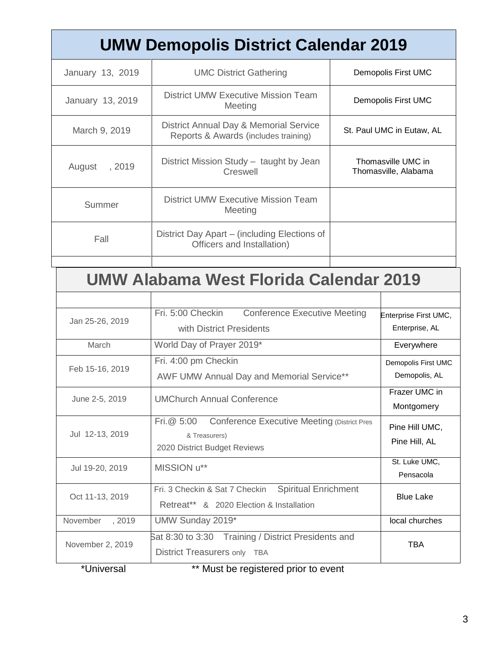|                    | <b>UMW Demopolis District Calendar 2019</b>                                    |                       |                                            |  |  |
|--------------------|--------------------------------------------------------------------------------|-----------------------|--------------------------------------------|--|--|
| January 13, 2019   | <b>UMC District Gathering</b>                                                  | Demopolis First UMC   |                                            |  |  |
| January 13, 2019   | <b>District UMW Executive Mission Team</b><br>Meeting                          | Demopolis First UMC   |                                            |  |  |
| March 9, 2019      | District Annual Day & Memorial Service<br>Reports & Awards (includes training) |                       | St. Paul UMC in Eutaw, AL                  |  |  |
| August<br>, 2019   | District Mission Study - taught by Jean<br>Creswell                            |                       | Thomasville UMC in<br>Thomasville, Alabama |  |  |
| Summer             | <b>District UMW Executive Mission Team</b><br>Meeting                          |                       |                                            |  |  |
| Fall               | District Day Apart - (including Elections of<br>Officers and Installation)     |                       |                                            |  |  |
|                    |                                                                                |                       |                                            |  |  |
|                    | UMW Alabama West Florida Calendar 2019                                         |                       |                                            |  |  |
|                    |                                                                                |                       |                                            |  |  |
| Jan 25-26, 2019    | Fri. 5:00 Checkin<br><b>Conference Executive Meeting</b>                       | Enterprise First UMC, |                                            |  |  |
|                    | with District Presidents                                                       |                       | Enterprise, AL                             |  |  |
| March              | World Day of Prayer 2019*                                                      |                       | Everywhere                                 |  |  |
| Feb 15-16, 2019    | Fri. 4:00 pm Checkin                                                           | Demopolis First UMC   |                                            |  |  |
|                    | AWF UMW Annual Day and Memorial Service**                                      | Demopolis, AL         |                                            |  |  |
| June 2-5, 2019     | <b>UMChurch Annual Conference</b>                                              |                       | Frazer UMC in<br>Montgomery                |  |  |
|                    | <b>Conference Executive Meeting (District Pres</b><br>Fri.@ 5:00               | Pine Hill UMC,        |                                            |  |  |
| Jul 12-13, 2019    | & Treasurers)                                                                  | Pine Hill, AL         |                                            |  |  |
|                    | 2020 District Budget Reviews                                                   |                       | St. Luke UMC,                              |  |  |
| Jul 19-20, 2019    | MISSION u**                                                                    |                       | Pensacola                                  |  |  |
| Oct 11-13, 2019    | <b>Spiritual Enrichment</b><br>Fri. 3 Checkin & Sat 7 Checkin                  |                       | <b>Blue Lake</b>                           |  |  |
|                    | Retreat** & 2020 Election & Installation                                       |                       |                                            |  |  |
| November<br>, 2019 | UMW Sunday 2019*                                                               |                       | local churches                             |  |  |
| November 2, 2019   | Sat 8:30 to 3:30 Training / District Presidents and                            |                       | <b>TBA</b>                                 |  |  |
| *I Iniversal       | District Treasurers only TBA<br>** Must be registered prior to event           |                       |                                            |  |  |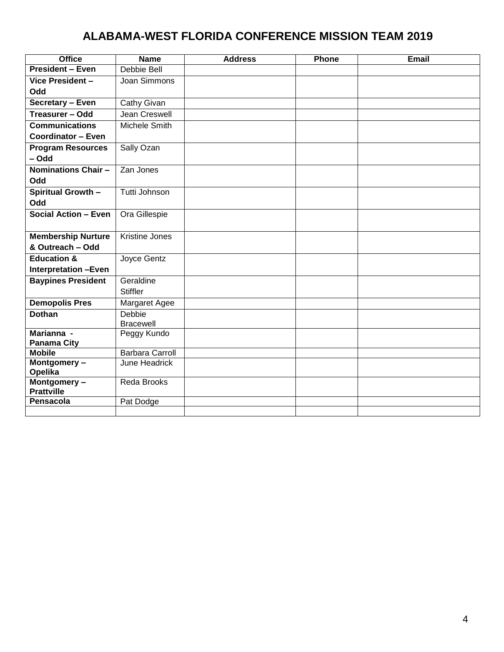## **ALABAMA-WEST FLORIDA CONFERENCE MISSION TEAM 2019**

| <b>Office</b>                       | <b>Name</b>            | <b>Address</b> | Phone | Email |
|-------------------------------------|------------------------|----------------|-------|-------|
| <b>President - Even</b>             | Debbie Bell            |                |       |       |
| Vice President -                    | Joan Simmons           |                |       |       |
| Odd                                 |                        |                |       |       |
| Secretary - Even                    | <b>Cathy Givan</b>     |                |       |       |
| Treasurer - Odd                     | Jean Creswell          |                |       |       |
| <b>Communications</b>               | Michele Smith          |                |       |       |
| <b>Coordinator - Even</b>           |                        |                |       |       |
| <b>Program Resources</b>            | Sally Ozan             |                |       |       |
| - Odd                               |                        |                |       |       |
| <b>Nominations Chair -</b>          | Zan Jones              |                |       |       |
| Odd                                 |                        |                |       |       |
| Spiritual Growth -                  | Tutti Johnson          |                |       |       |
| Odd                                 |                        |                |       |       |
| <b>Social Action - Even</b>         | Ora Gillespie          |                |       |       |
|                                     |                        |                |       |       |
| <b>Membership Nurture</b>           | Kristine Jones         |                |       |       |
| & Outreach - Odd                    |                        |                |       |       |
| <b>Education &amp;</b>              | Joyce Gentz            |                |       |       |
| <b>Interpretation -Even</b>         |                        |                |       |       |
| <b>Baypines President</b>           | Geraldine              |                |       |       |
|                                     | <b>Stiffler</b>        |                |       |       |
| <b>Demopolis Pres</b>               | Margaret Agee          |                |       |       |
| <b>Dothan</b>                       | Debbie                 |                |       |       |
|                                     | <b>Bracewell</b>       |                |       |       |
| Marianna -                          | Peggy Kundo            |                |       |       |
| <b>Panama City</b><br><b>Mobile</b> | <b>Barbara Carroll</b> |                |       |       |
| Montgomery-                         | June Headrick          |                |       |       |
| Opelika                             |                        |                |       |       |
| Montgomery-                         | <b>Reda Brooks</b>     |                |       |       |
| <b>Prattville</b>                   |                        |                |       |       |
| <b>Pensacola</b>                    | Pat Dodge              |                |       |       |
|                                     |                        |                |       |       |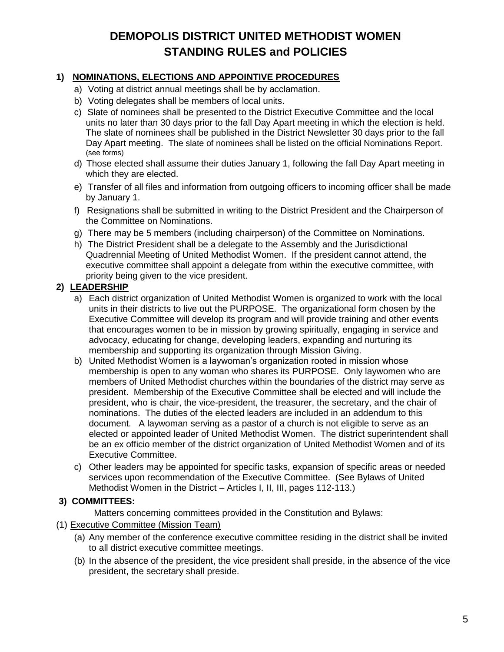### **DEMOPOLIS DISTRICT UNITED METHODIST WOMEN STANDING RULES and POLICIES**

#### **1) NOMINATIONS, ELECTIONS AND APPOINTIVE PROCEDURES**

- a) Voting at district annual meetings shall be by acclamation.
- b) Voting delegates shall be members of local units.
- c) Slate of nominees shall be presented to the District Executive Committee and the local units no later than 30 days prior to the fall Day Apart meeting in which the election is held. The slate of nominees shall be published in the District Newsletter 30 days prior to the fall Day Apart meeting. The slate of nominees shall be listed on the official Nominations Report. (see forms)
- d) Those elected shall assume their duties January 1, following the fall Day Apart meeting in which they are elected.
- e) Transfer of all files and information from outgoing officers to incoming officer shall be made by January 1.
- f) Resignations shall be submitted in writing to the District President and the Chairperson of the Committee on Nominations.
- g) There may be 5 members (including chairperson) of the Committee on Nominations.
- h) The District President shall be a delegate to the Assembly and the Jurisdictional Quadrennial Meeting of United Methodist Women. If the president cannot attend, the executive committee shall appoint a delegate from within the executive committee, with priority being given to the vice president.

#### **2) LEADERSHIP**

- a) Each district organization of United Methodist Women is organized to work with the local units in their districts to live out the PURPOSE. The organizational form chosen by the Executive Committee will develop its program and will provide training and other events that encourages women to be in mission by growing spiritually, engaging in service and advocacy, educating for change, developing leaders, expanding and nurturing its membership and supporting its organization through Mission Giving.
- b) United Methodist Women is a laywoman's organization rooted in mission whose membership is open to any woman who shares its PURPOSE. Only laywomen who are members of United Methodist churches within the boundaries of the district may serve as president. Membership of the Executive Committee shall be elected and will include the president, who is chair, the vice-president, the treasurer, the secretary, and the chair of nominations. The duties of the elected leaders are included in an addendum to this document. A laywoman serving as a pastor of a church is not eligible to serve as an elected or appointed leader of United Methodist Women. The district superintendent shall be an ex officio member of the district organization of United Methodist Women and of its Executive Committee.
- c) Other leaders may be appointed for specific tasks, expansion of specific areas or needed services upon recommendation of the Executive Committee. (See Bylaws of United Methodist Women in the District – Articles I, II, III, pages 112-113.)

#### **3) COMMITTEES:**

Matters concerning committees provided in the Constitution and Bylaws:

- (1) Executive Committee (Mission Team)
	- (a) Any member of the conference executive committee residing in the district shall be invited to all district executive committee meetings.
	- (b) In the absence of the president, the vice president shall preside, in the absence of the vice president, the secretary shall preside.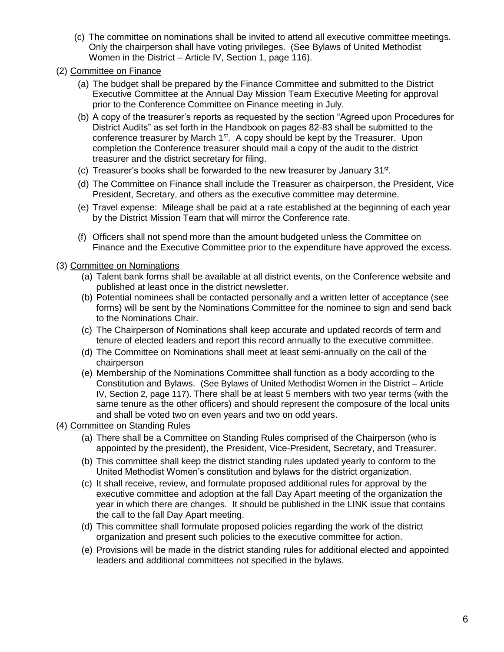- (c) The committee on nominations shall be invited to attend all executive committee meetings. Only the chairperson shall have voting privileges. (See Bylaws of United Methodist Women in the District – Article IV, Section 1, page 116).
- (2) Committee on Finance
	- (a) The budget shall be prepared by the Finance Committee and submitted to the District Executive Committee at the Annual Day Mission Team Executive Meeting for approval prior to the Conference Committee on Finance meeting in July.
	- (b) A copy of the treasurer's reports as requested by the section "Agreed upon Procedures for District Audits" as set forth in the Handbook on pages 82-83 shall be submitted to the conference treasurer by March 1<sup>st</sup>. A copy should be kept by the Treasurer. Upon completion the Conference treasurer should mail a copy of the audit to the district treasurer and the district secretary for filing.
	- (c) Treasurer's books shall be forwarded to the new treasurer by January  $31^{st}$ .
	- (d) The Committee on Finance shall include the Treasurer as chairperson, the President, Vice President, Secretary, and others as the executive committee may determine.
	- (e) Travel expense: Mileage shall be paid at a rate established at the beginning of each year by the District Mission Team that will mirror the Conference rate.
	- (f) Officers shall not spend more than the amount budgeted unless the Committee on Finance and the Executive Committee prior to the expenditure have approved the excess.

#### (3) Committee on Nominations

- (a) Talent bank forms shall be available at all district events, on the Conference website and published at least once in the district newsletter.
- (b) Potential nominees shall be contacted personally and a written letter of acceptance (see forms) will be sent by the Nominations Committee for the nominee to sign and send back to the Nominations Chair.
- (c) The Chairperson of Nominations shall keep accurate and updated records of term and tenure of elected leaders and report this record annually to the executive committee.
- (d) The Committee on Nominations shall meet at least semi-annually on the call of the chairperson
- (e) Membership of the Nominations Committee shall function as a body according to the Constitution and Bylaws. (See Bylaws of United Methodist Women in the District – Article IV, Section 2, page 117). There shall be at least 5 members with two year terms (with the same tenure as the other officers) and should represent the composure of the local units and shall be voted two on even years and two on odd years.
- (4) Committee on Standing Rules
	- (a) There shall be a Committee on Standing Rules comprised of the Chairperson (who is appointed by the president), the President, Vice-President, Secretary, and Treasurer.
	- (b) This committee shall keep the district standing rules updated yearly to conform to the United Methodist Women's constitution and bylaws for the district organization.
	- (c) It shall receive, review, and formulate proposed additional rules for approval by the executive committee and adoption at the fall Day Apart meeting of the organization the year in which there are changes. It should be published in the LINK issue that contains the call to the fall Day Apart meeting.
	- (d) This committee shall formulate proposed policies regarding the work of the district organization and present such policies to the executive committee for action.
	- (e) Provisions will be made in the district standing rules for additional elected and appointed leaders and additional committees not specified in the bylaws.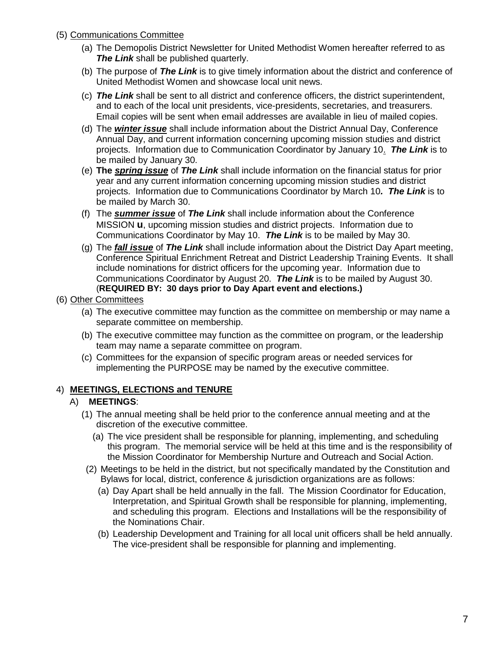#### (5) Communications Committee

- (a) The Demopolis District Newsletter for United Methodist Women hereafter referred to as **The Link** shall be published quarterly.
- (b) The purpose of *The Link* is to give timely information about the district and conference of United Methodist Women and showcase local unit news.
- (c) *The Link* shall be sent to all district and conference officers, the district superintendent, and to each of the local unit presidents, vice-presidents, secretaries, and treasurers. Email copies will be sent when email addresses are available in lieu of mailed copies.
- (d) The *winter issue* shall include information about the District Annual Day, Conference Annual Day, and current information concerning upcoming mission studies and district projects. Information due to Communication Coordinator by January 10. *The Link* is to be mailed by January 30.
- (e) **The** *spring issue* of *The Link* shall include information on the financial status for prior year and any current information concerning upcoming mission studies and district projects. Information due to Communications Coordinator by March 10*. The Link* is to be mailed by March 30.
- (f) The *summer issue* of *The Link* shall include information about the Conference MISSION **u**, upcoming mission studies and district projects. Information due to Communications Coordinator by May 10. *The Link* is to be mailed by May 30.
- (g) The *fall issue* of *The Link* shall include information about the District Day Apart meeting, Conference Spiritual Enrichment Retreat and District Leadership Training Events. It shall include nominations for district officers for the upcoming year. Information due to Communications Coordinator by August 20. *The Link* is to be mailed by August 30. (**REQUIRED BY: 30 days prior to Day Apart event and elections.)**

#### (6) Other Committees

- (a) The executive committee may function as the committee on membership or may name a separate committee on membership.
- (b) The executive committee may function as the committee on program, or the leadership team may name a separate committee on program.
- (c) Committees for the expansion of specific program areas or needed services for implementing the PURPOSE may be named by the executive committee.

#### 4) **MEETINGS, ELECTIONS and TENURE**

#### A) **MEETINGS**:

- (1) The annual meeting shall be held prior to the conference annual meeting and at the discretion of the executive committee.
	- (a) The vice president shall be responsible for planning, implementing, and scheduling this program. The memorial service will be held at this time and is the responsibility of the Mission Coordinator for Membership Nurture and Outreach and Social Action.
- (2) Meetings to be held in the district, but not specifically mandated by the Constitution and Bylaws for local, district, conference & jurisdiction organizations are as follows:
	- (a) Day Apart shall be held annually in the fall. The Mission Coordinator for Education, Interpretation, and Spiritual Growth shall be responsible for planning, implementing, and scheduling this program. Elections and Installations will be the responsibility of the Nominations Chair.
	- (b) Leadership Development and Training for all local unit officers shall be held annually. The vice-president shall be responsible for planning and implementing.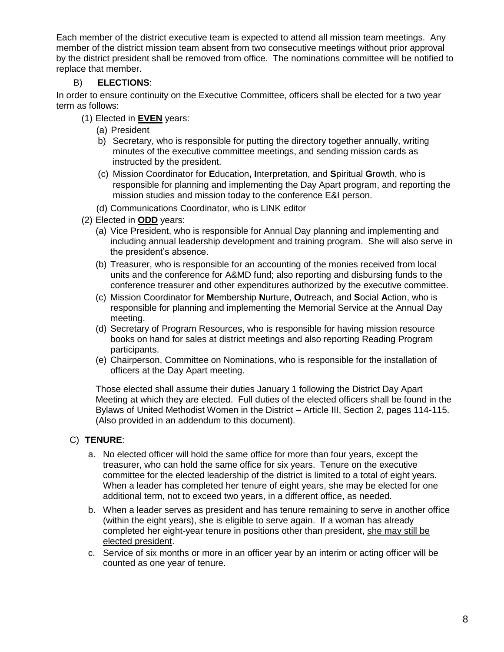Each member of the district executive team is expected to attend all mission team meetings. Any member of the district mission team absent from two consecutive meetings without prior approval by the district president shall be removed from office. The nominations committee will be notified to replace that member.

#### B) **ELECTIONS**:

In order to ensure continuity on the Executive Committee, officers shall be elected for a two year term as follows:

- (1) Elected in **EVEN** years:
	- (a) President
	- b) Secretary, who is responsible for putting the directory together annually, writing minutes of the executive committee meetings, and sending mission cards as instructed by the president.
	- (c) Mission Coordinator for **E**ducation**, I**nterpretation, and **S**piritual **G**rowth, who is responsible for planning and implementing the Day Apart program, and reporting the mission studies and mission today to the conference E&I person.
	- (d) Communications Coordinator, who is LINK editor
- (2) Elected in **ODD** years:
	- (a) Vice President, who is responsible for Annual Day planning and implementing and including annual leadership development and training program. She will also serve in the president's absence.
	- (b) Treasurer, who is responsible for an accounting of the monies received from local units and the conference for A&MD fund; also reporting and disbursing funds to the conference treasurer and other expenditures authorized by the executive committee.
	- (c) Mission Coordinator for **M**embership **N**urture, **O**utreach, and **S**ocial **A**ction, who is responsible for planning and implementing the Memorial Service at the Annual Day meeting.
	- (d) Secretary of Program Resources, who is responsible for having mission resource books on hand for sales at district meetings and also reporting Reading Program participants.
	- (e) Chairperson, Committee on Nominations, who is responsible for the installation of officers at the Day Apart meeting.

Those elected shall assume their duties January 1 following the District Day Apart Meeting at which they are elected. Full duties of the elected officers shall be found in the Bylaws of United Methodist Women in the District – Article III, Section 2, pages 114-115. (Also provided in an addendum to this document).

#### C) **TENURE**:

- a. No elected officer will hold the same office for more than four years, except the treasurer, who can hold the same office for six years. Tenure on the executive committee for the elected leadership of the district is limited to a total of eight years. When a leader has completed her tenure of eight years, she may be elected for one additional term, not to exceed two years, in a different office, as needed.
- b. When a leader serves as president and has tenure remaining to serve in another office (within the eight years), she is eligible to serve again. If a woman has already completed her eight-year tenure in positions other than president, she may still be elected president.
- c. Service of six months or more in an officer year by an interim or acting officer will be counted as one year of tenure.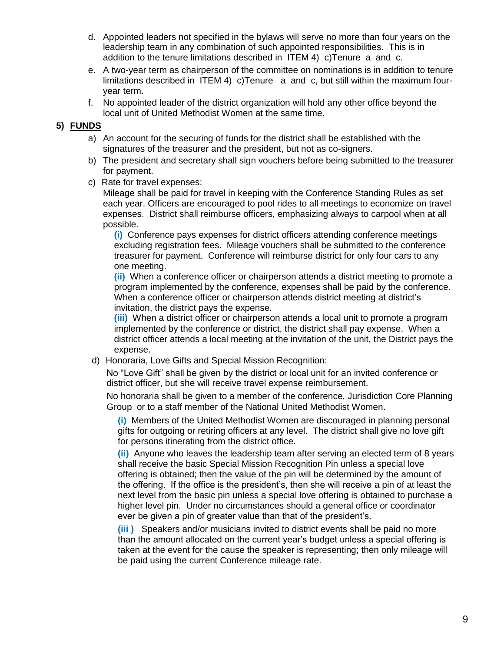- d. Appointed leaders not specified in the bylaws will serve no more than four years on the leadership team in any combination of such appointed responsibilities. This is in addition to the tenure limitations described in ITEM 4) c)Tenure a and c.
- e. A two-year term as chairperson of the committee on nominations is in addition to tenure limitations described in ITEM 4) c)Tenure a and c, but still within the maximum fouryear term.
- f. No appointed leader of the district organization will hold any other office beyond the local unit of United Methodist Women at the same time.

#### **5) FUNDS**

- a) An account for the securing of funds for the district shall be established with the signatures of the treasurer and the president, but not as co-signers.
- b) The president and secretary shall sign vouchers before being submitted to the treasurer for payment.
- c) Rate for travel expenses:

Mileage shall be paid for travel in keeping with the Conference Standing Rules as set each year. Officers are encouraged to pool rides to all meetings to economize on travel expenses. District shall reimburse officers, emphasizing always to carpool when at all possible.

**(i)** Conference pays expenses for district officers attending conference meetings excluding registration fees. Mileage vouchers shall be submitted to the conference treasurer for payment. Conference will reimburse district for only four cars to any one meeting.

**(ii)** When a conference officer or chairperson attends a district meeting to promote a program implemented by the conference, expenses shall be paid by the conference. When a conference officer or chairperson attends district meeting at district's invitation, the district pays the expense.

**(iii)** When a district officer or chairperson attends a local unit to promote a program implemented by the conference or district, the district shall pay expense. When a district officer attends a local meeting at the invitation of the unit, the District pays the expense.

d) Honoraria, Love Gifts and Special Mission Recognition:

No "Love Gift" shall be given by the district or local unit for an invited conference or district officer, but she will receive travel expense reimbursement.

No honoraria shall be given to a member of the conference, Jurisdiction Core Planning Group or to a staff member of the National United Methodist Women.

**(i)** Members of the United Methodist Women are discouraged in planning personal gifts for outgoing or retiring officers at any level. The district shall give no love gift for persons itinerating from the district office.

**(ii)** Anyone who leaves the leadership team after serving an elected term of 8 years shall receive the basic Special Mission Recognition Pin unless a special love offering is obtained; then the value of the pin will be determined by the amount of the offering. If the office is the president's, then she will receive a pin of at least the next level from the basic pin unless a special love offering is obtained to purchase a higher level pin. Under no circumstances should a general office or coordinator ever be given a pin of greater value than that of the president's.

**(iii )** Speakers and/or musicians invited to district events shall be paid no more than the amount allocated on the current year's budget unless a special offering is taken at the event for the cause the speaker is representing; then only mileage will be paid using the current Conference mileage rate.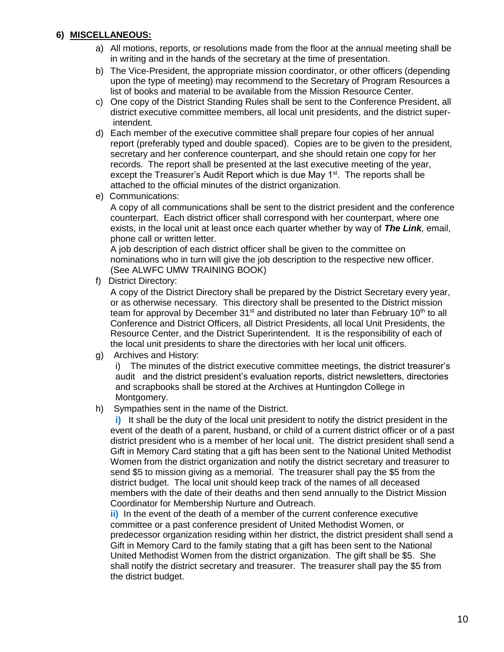#### **6) MISCELLANEOUS:**

- a) All motions, reports, or resolutions made from the floor at the annual meeting shall be in writing and in the hands of the secretary at the time of presentation.
- b) The Vice-President, the appropriate mission coordinator, or other officers (depending upon the type of meeting) may recommend to the Secretary of Program Resources a list of books and material to be available from the Mission Resource Center.
- c) One copy of the District Standing Rules shall be sent to the Conference President, all district executive committee members, all local unit presidents, and the district superintendent.
- d) Each member of the executive committee shall prepare four copies of her annual report (preferably typed and double spaced). Copies are to be given to the president, secretary and her conference counterpart, and she should retain one copy for her records. The report shall be presented at the last executive meeting of the year, except the Treasurer's Audit Report which is due May 1<sup>st</sup>. The reports shall be attached to the official minutes of the district organization.
- e) Communications:

A copy of all communications shall be sent to the district president and the conference counterpart. Each district officer shall correspond with her counterpart, where one exists, in the local unit at least once each quarter whether by way of *The Link,* email, phone call or written letter.

A job description of each district officer shall be given to the committee on nominations who in turn will give the job description to the respective new officer. (See ALWFC UMW TRAINING BOOK)

f) District Directory:

A copy of the District Directory shall be prepared by the District Secretary every year, or as otherwise necessary. This directory shall be presented to the District mission team for approval by December  $31<sup>st</sup>$  and distributed no later than February 10<sup>th</sup> to all Conference and District Officers, all District Presidents, all local Unit Presidents, the Resource Center, and the District Superintendent. It is the responsibility of each of the local unit presidents to share the directories with her local unit officers.

g) Archives and History:

i) The minutes of the district executive committee meetings, the district treasurer's audit and the district president's evaluation reports, district newsletters, directories and scrapbooks shall be stored at the Archives at Huntingdon College in Montgomery.

h) Sympathies sent in the name of the District.

**i)** It shall be the duty of the local unit president to notify the district president in the event of the death of a parent, husband, or child of a current district officer or of a past district president who is a member of her local unit. The district president shall send a Gift in Memory Card stating that a gift has been sent to the National United Methodist Women from the district organization and notify the district secretary and treasurer to send \$5 to mission giving as a memorial. The treasurer shall pay the \$5 from the district budget. The local unit should keep track of the names of all deceased members with the date of their deaths and then send annually to the District Mission Coordinator for Membership Nurture and Outreach.

**ii)** In the event of the death of a member of the current conference executive committee or a past conference president of United Methodist Women, or predecessor organization residing within her district, the district president shall send a Gift in Memory Card to the family stating that a gift has been sent to the National United Methodist Women from the district organization. The gift shall be \$5. She shall notify the district secretary and treasurer. The treasurer shall pay the \$5 from the district budget.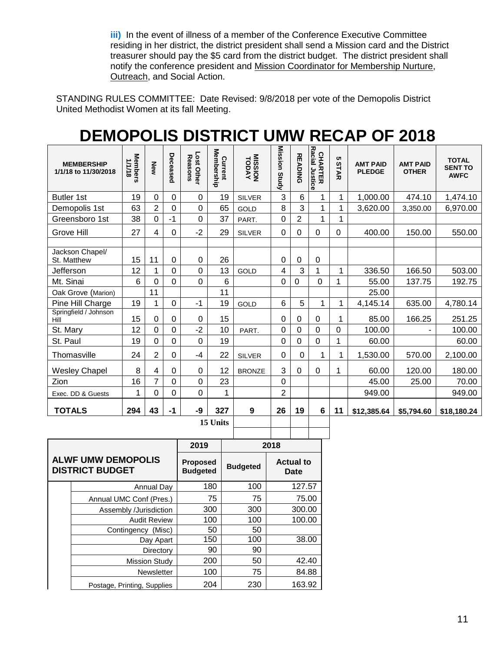**iii)** In the event of illness of a member of the Conference Executive Committee residing in her district, the district president shall send a Mission card and the District treasurer should pay the \$5 card from the district budget. The district president shall notify the conference president and Mission Coordinator for Membership Nurture, Outreach, and Social Action.

STANDING RULES COMMITTEE: Date Revised: 9/8/2018 per vote of the Demopolis District United Methodist Women at its fall Meeting.

| <b>DEMOPOLIS DISTRICT UMW RECAP OF 2018</b> |  |  |  |  |  |  |  |
|---------------------------------------------|--|--|--|--|--|--|--|
|                                             |  |  |  |  |  |  |  |

| 3<br>19<br>0<br>6<br>1,000.00<br>0<br>19<br>1<br>474.10<br><b>Butler 1st</b><br>0<br>1<br><b>SILVER</b><br>$\overline{2}$<br>3<br>8<br>63<br>0<br>$\mathbf 0$<br>65<br>1<br>1<br>3,620.00<br>Demopolis 1st<br>3,350.00<br>GOLD<br>$\overline{2}$<br>$-1$<br>$\mathbf 0$<br>1<br>38<br>0<br>37<br>1<br>Greensboro 1st<br>0<br>PART.<br>27<br>$-2$<br>29<br>$\Omega$<br>0<br>150.00<br>Grove Hill<br>4<br>$\mathbf 0$<br>0<br>0<br>400.00<br>550.00<br><b>SILVER</b><br>Jackson Chapel/<br>11<br>26<br>15<br>0<br>$\mathbf 0$<br>$\mathbf 0$<br>0<br>0<br>St. Matthew<br>$\mathbf 0$<br>13<br>3<br>1<br>12<br>0<br>4<br>1<br>336.50<br>166.50<br>Jefferson<br><b>GOLD</b><br>$\mathbf 0$<br>6<br>Mt. Sinai<br>6<br>0<br>$\overline{0}$<br>0<br>$\mathbf 0$<br>$\mathbf 0$<br>1<br>55.00<br>192.75<br>137.75<br>11<br>11<br>25.00<br>Oak Grove (Marion)<br>5<br>19<br>6<br>4,145.14<br>1<br>$\overline{0}$<br>$-1$<br>19<br>$\mathbf{1}$<br>1<br>635.00<br>Pine Hill Charge<br>GOLD<br>Springfield / Johnson<br>15<br>0<br>15<br>$\mathbf 0$<br>0<br>$\mathbf 0$<br>$\mathbf 0$<br>$\mathbf 0$<br>85.00<br>166.25<br>1<br>Hill<br>$-2$<br>12<br>0<br>$\mathbf 0$<br>10<br>$\mathbf 0$<br>0<br>0<br>St. Mary<br>0<br>100.00<br>PART.<br>$\mathbf 0$<br>$\overline{0}$<br>1<br>19<br>0<br>$\overline{0}$<br>19<br>$\overline{0}$<br>St. Paul<br>$\mathbf 0$<br>60.00<br>$\overline{c}$<br>24<br>$\mathbf 0$<br>$-4$<br>22<br>0<br>1,530.00<br>570.00<br>Thomasville<br>$\Omega$<br>1<br>1<br><b>SILVER</b><br>8<br>3<br>$\mathbf 0$<br>$\pmb{0}$<br>12<br>$\mathbf 0$<br>0<br>1<br>60.00<br>120.00<br><b>Wesley Chapel</b><br>4<br><b>BRONZE</b><br>$\overline{7}$<br>16<br>$\Omega$<br>$\mathbf 0$<br>23<br>Zion<br>0<br>45.00<br>25.00<br>70.00<br>$\mathbf 0$<br>0<br>$\overline{c}$<br>$\mathbf 0$<br>1<br>949.00<br>949.00<br>1<br>Exec. DD & Guests<br>43<br>-9<br><b>TOTALS</b><br>327<br>9<br>26<br>294<br>$-1$<br>19<br>6<br>11<br>\$12,385.64<br>\$5,794.60 | <b>MEMBERSHIP</b><br>1/1/18 to 11/30/2018 | <b>Members</b><br>1/1/18 | New | Deceased | Lost Other<br>Reasons | <b>Membership</b><br>Current | <b>VAGOT</b><br><b>TODAY</b> | Mission Study | <b>READING</b> | Racial Justice<br>CHARTER | c<br>STAR | <b>AMT PAID</b><br><b>PLEDGE</b> | <b>AMT PAID</b><br><b>OTHER</b> | <b>TOTAL</b><br><b>SENT TO</b><br><b>AWFC</b> |
|------------------------------------------------------------------------------------------------------------------------------------------------------------------------------------------------------------------------------------------------------------------------------------------------------------------------------------------------------------------------------------------------------------------------------------------------------------------------------------------------------------------------------------------------------------------------------------------------------------------------------------------------------------------------------------------------------------------------------------------------------------------------------------------------------------------------------------------------------------------------------------------------------------------------------------------------------------------------------------------------------------------------------------------------------------------------------------------------------------------------------------------------------------------------------------------------------------------------------------------------------------------------------------------------------------------------------------------------------------------------------------------------------------------------------------------------------------------------------------------------------------------------------------------------------------------------------------------------------------------------------------------------------------------------------------------------------------------------------------------------------------------------------------------------------------------------------------------------------------------------------------------------------------------------------------------------------------------|-------------------------------------------|--------------------------|-----|----------|-----------------------|------------------------------|------------------------------|---------------|----------------|---------------------------|-----------|----------------------------------|---------------------------------|-----------------------------------------------|
|                                                                                                                                                                                                                                                                                                                                                                                                                                                                                                                                                                                                                                                                                                                                                                                                                                                                                                                                                                                                                                                                                                                                                                                                                                                                                                                                                                                                                                                                                                                                                                                                                                                                                                                                                                                                                                                                                                                                                                  |                                           |                          |     |          |                       |                              |                              |               |                |                           |           |                                  |                                 | 1,474.10                                      |
|                                                                                                                                                                                                                                                                                                                                                                                                                                                                                                                                                                                                                                                                                                                                                                                                                                                                                                                                                                                                                                                                                                                                                                                                                                                                                                                                                                                                                                                                                                                                                                                                                                                                                                                                                                                                                                                                                                                                                                  |                                           |                          |     |          |                       |                              |                              |               |                |                           |           |                                  |                                 | 6,970.00                                      |
|                                                                                                                                                                                                                                                                                                                                                                                                                                                                                                                                                                                                                                                                                                                                                                                                                                                                                                                                                                                                                                                                                                                                                                                                                                                                                                                                                                                                                                                                                                                                                                                                                                                                                                                                                                                                                                                                                                                                                                  |                                           |                          |     |          |                       |                              |                              |               |                |                           |           |                                  |                                 |                                               |
|                                                                                                                                                                                                                                                                                                                                                                                                                                                                                                                                                                                                                                                                                                                                                                                                                                                                                                                                                                                                                                                                                                                                                                                                                                                                                                                                                                                                                                                                                                                                                                                                                                                                                                                                                                                                                                                                                                                                                                  |                                           |                          |     |          |                       |                              |                              |               |                |                           |           |                                  |                                 |                                               |
|                                                                                                                                                                                                                                                                                                                                                                                                                                                                                                                                                                                                                                                                                                                                                                                                                                                                                                                                                                                                                                                                                                                                                                                                                                                                                                                                                                                                                                                                                                                                                                                                                                                                                                                                                                                                                                                                                                                                                                  |                                           |                          |     |          |                       |                              |                              |               |                |                           |           |                                  |                                 |                                               |
|                                                                                                                                                                                                                                                                                                                                                                                                                                                                                                                                                                                                                                                                                                                                                                                                                                                                                                                                                                                                                                                                                                                                                                                                                                                                                                                                                                                                                                                                                                                                                                                                                                                                                                                                                                                                                                                                                                                                                                  |                                           |                          |     |          |                       |                              |                              |               |                |                           |           |                                  |                                 | 503.00                                        |
|                                                                                                                                                                                                                                                                                                                                                                                                                                                                                                                                                                                                                                                                                                                                                                                                                                                                                                                                                                                                                                                                                                                                                                                                                                                                                                                                                                                                                                                                                                                                                                                                                                                                                                                                                                                                                                                                                                                                                                  |                                           |                          |     |          |                       |                              |                              |               |                |                           |           |                                  |                                 |                                               |
|                                                                                                                                                                                                                                                                                                                                                                                                                                                                                                                                                                                                                                                                                                                                                                                                                                                                                                                                                                                                                                                                                                                                                                                                                                                                                                                                                                                                                                                                                                                                                                                                                                                                                                                                                                                                                                                                                                                                                                  |                                           |                          |     |          |                       |                              |                              |               |                |                           |           |                                  |                                 |                                               |
|                                                                                                                                                                                                                                                                                                                                                                                                                                                                                                                                                                                                                                                                                                                                                                                                                                                                                                                                                                                                                                                                                                                                                                                                                                                                                                                                                                                                                                                                                                                                                                                                                                                                                                                                                                                                                                                                                                                                                                  |                                           |                          |     |          |                       |                              |                              |               |                |                           |           |                                  |                                 | 4,780.14                                      |
|                                                                                                                                                                                                                                                                                                                                                                                                                                                                                                                                                                                                                                                                                                                                                                                                                                                                                                                                                                                                                                                                                                                                                                                                                                                                                                                                                                                                                                                                                                                                                                                                                                                                                                                                                                                                                                                                                                                                                                  |                                           |                          |     |          |                       |                              |                              |               |                |                           |           |                                  |                                 | 251.25                                        |
|                                                                                                                                                                                                                                                                                                                                                                                                                                                                                                                                                                                                                                                                                                                                                                                                                                                                                                                                                                                                                                                                                                                                                                                                                                                                                                                                                                                                                                                                                                                                                                                                                                                                                                                                                                                                                                                                                                                                                                  |                                           |                          |     |          |                       |                              |                              |               |                |                           |           |                                  |                                 | 100.00                                        |
|                                                                                                                                                                                                                                                                                                                                                                                                                                                                                                                                                                                                                                                                                                                                                                                                                                                                                                                                                                                                                                                                                                                                                                                                                                                                                                                                                                                                                                                                                                                                                                                                                                                                                                                                                                                                                                                                                                                                                                  |                                           |                          |     |          |                       |                              |                              |               |                |                           |           |                                  |                                 | 60.00                                         |
|                                                                                                                                                                                                                                                                                                                                                                                                                                                                                                                                                                                                                                                                                                                                                                                                                                                                                                                                                                                                                                                                                                                                                                                                                                                                                                                                                                                                                                                                                                                                                                                                                                                                                                                                                                                                                                                                                                                                                                  |                                           |                          |     |          |                       |                              |                              |               |                |                           |           |                                  |                                 | 2,100.00                                      |
|                                                                                                                                                                                                                                                                                                                                                                                                                                                                                                                                                                                                                                                                                                                                                                                                                                                                                                                                                                                                                                                                                                                                                                                                                                                                                                                                                                                                                                                                                                                                                                                                                                                                                                                                                                                                                                                                                                                                                                  |                                           |                          |     |          |                       |                              |                              |               |                |                           |           |                                  |                                 | 180.00                                        |
|                                                                                                                                                                                                                                                                                                                                                                                                                                                                                                                                                                                                                                                                                                                                                                                                                                                                                                                                                                                                                                                                                                                                                                                                                                                                                                                                                                                                                                                                                                                                                                                                                                                                                                                                                                                                                                                                                                                                                                  |                                           |                          |     |          |                       |                              |                              |               |                |                           |           |                                  |                                 |                                               |
|                                                                                                                                                                                                                                                                                                                                                                                                                                                                                                                                                                                                                                                                                                                                                                                                                                                                                                                                                                                                                                                                                                                                                                                                                                                                                                                                                                                                                                                                                                                                                                                                                                                                                                                                                                                                                                                                                                                                                                  |                                           |                          |     |          |                       |                              |                              |               |                |                           |           |                                  |                                 |                                               |
|                                                                                                                                                                                                                                                                                                                                                                                                                                                                                                                                                                                                                                                                                                                                                                                                                                                                                                                                                                                                                                                                                                                                                                                                                                                                                                                                                                                                                                                                                                                                                                                                                                                                                                                                                                                                                                                                                                                                                                  |                                           |                          |     |          |                       | 15 Units                     |                              |               |                |                           |           |                                  |                                 | \$18,180.24                                   |

|                                                     | 2019                               |                 | 2018                     |
|-----------------------------------------------------|------------------------------------|-----------------|--------------------------|
| <b>ALWF UMW DEMOPOLIS</b><br><b>DISTRICT BUDGET</b> | <b>Proposed</b><br><b>Budgeted</b> | <b>Budgeted</b> | <b>Actual to</b><br>Date |
| Annual Day                                          | 180                                | 100             | 127.57                   |
| Annual UMC Conf (Pres.)                             | 75                                 | 75              | 75.00                    |
| Assembly /Jurisdiction                              | 300                                | 300             | 300.00                   |
| <b>Audit Review</b>                                 | 100                                | 100             | 100.00                   |
| Contingency (Misc)                                  | 50                                 | 50              |                          |
| Day Apart                                           | 150                                | 100             | 38.00                    |
| Directory                                           | 90                                 | 90              |                          |
| <b>Mission Study</b>                                | 200                                | 50              | 42.40                    |
| Newsletter                                          | 100                                | 75              | 84.88                    |
| Postage, Printing, Supplies                         | 204                                | 230             | 163.92                   |